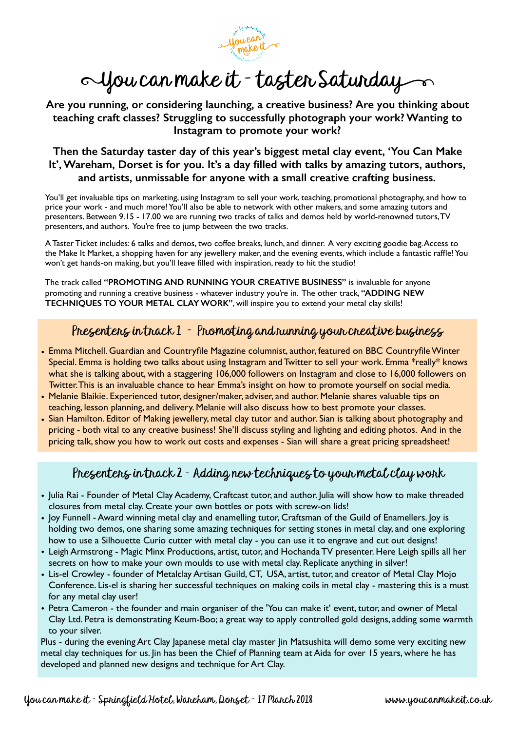Woucan

## 1You can make it - taster Saturday

**Are you running, or considering launching, a creative business? Are you thinking about teaching craft classes? Struggling to successfully photograph your work? Wanting to Instagram to promote your work?**

**Then the Saturday taster day of this year's biggest metal clay event, 'You Can Make It', Wareham, Dorset is for you. It's a day filled with talks by amazing tutors, authors, and artists, unmissable for anyone with a small creative crafting business.** 

You'll get invaluable tips on marketing, using Instagram to sell your work, teaching, promotional photography, and how to price your work - and much more! You'll also be able to network with other makers, and some amazing tutors and presenters. Between 9.15 - 17.00 we are running two tracks of talks and demos held by world-renowned tutors, TV presenters, and authors. You're free to jump between the two tracks.

A Taster Ticket includes: 6 talks and demos, two coffee breaks, lunch, and dinner. A very exciting goodie bag. Access to the Make It Market, a shopping haven for any jewellery maker, and the evening events, which include a fantastic raffle! You won't get hands-on making, but you'll leave filled with inspiration, ready to hit the studio!

The track called **"PROMOTING AND RUNNING YOUR CREATIVE BUSINESS"** is invaluable for anyone promoting and running a creative business - whatever industry you're in. The other track, **"ADDING NEW TECHNIQUES TO YOUR METAL CLAY WORK"**, will inspire you to extend your metal clay skills!

## Presenters in track 1 - Promoting and running your creative business

- Emma Mitchell. Guardian and Countryfile Magazine columnist, author, featured on BBC Countryfile Winter Special. Emma is holding two talks about using Instagram and Twitter to sell your work. Emma \*really\* knows what she is talking about, with a staggering 106,000 followers on Instagram and close to 16,000 followers on Twitter. This is an invaluable chance to hear Emma's insight on how to promote yourself on social media.
- Melanie Blaikie. Experienced tutor, designer/maker, adviser, and author. Melanie shares valuable tips on teaching, lesson planning, and delivery. Melanie will also discuss how to best promote your classes.
- Sian Hamilton. Editor of Making jewellery, metal clay tutor and author. Sian is talking about photography and pricing - both vital to any creative business! She'll discuss styling and lighting and editing photos. And in the pricing talk, show you how to work out costs and expenses - Sian will share a great pricing spreadsheet!

## Presenters in track 2 - Adding new techniques to your metal clay work

- Julia Rai Founder of Metal Clay Academy, Craftcast tutor, and author. Julia will show how to make threaded closures from metal clay. Create your own bottles or pots with screw-on lids!
- Joy Funnell Award winning metal clay and enamelling tutor, Craftsman of the Guild of Enamellers. Joy is holding two demos, one sharing some amazing techniques for setting stones in metal clay, and one exploring how to use a Silhouette Curio cutter with metal clay - you can use it to engrave and cut out designs!
- Leigh Armstrong Magic Minx Productions, artist, tutor, and Hochanda TV presenter. Here Leigh spills all her secrets on how to make your own moulds to use with metal clay. Replicate anything in silver!
- Lis-el Crowley founder of Metalclay Artisan Guild, CT, USA, artist, tutor, and creator of Metal Clay Mojo Conference. Lis-el is sharing her successful techniques on making coils in metal clay - mastering this is a must for any metal clay user!
- Petra Cameron the founder and main organiser of the 'You can make it' event, tutor, and owner of Metal Clay Ltd. Petra is demonstrating Keum-Boo; a great way to apply controlled gold designs, adding some warmth to your silver.

Plus - during the evening Art Clay Japanese metal clay master Jin Matsushita will demo some very exciting new metal clay techniques for us. Jin has been the Chief of Planning team at Aida for over 15 years, where he has developed and planned new designs and technique for Art Clay.